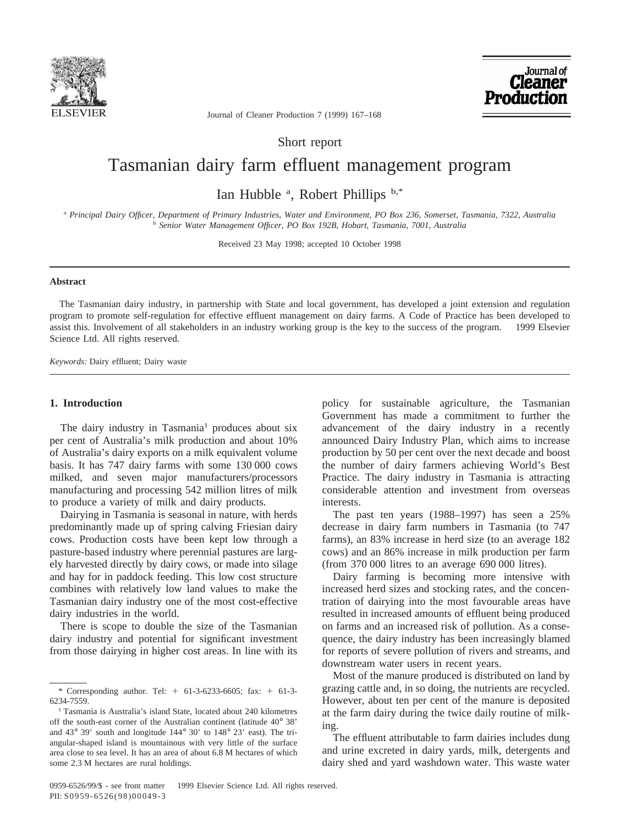



Journal of Cleaner Production 7 (1999) 167–168

Short report

# Tasmanian dairy farm effluent management program

Ian Hubble <sup>a</sup>, Robert Phillips b,\*

<sup>a</sup> *Principal Dairy Officer, Department of Primary Industries, Water and Environment, PO Box 236, Somerset, Tasmania, 7322, Australia* <sup>b</sup> *Senior Water Management Officer, PO Box 192B, Hobart, Tasmania, 7001, Australia*

Received 23 May 1998; accepted 10 October 1998

## **Abstract**

The Tasmanian dairy industry, in partnership with State and local government, has developed a joint extension and regulation program to promote self-regulation for effective effluent management on dairy farms. A Code of Practice has been developed to assist this. Involvement of all stakeholders in an industry working group is the key to the success of the program. © 1999 Elsevier Science Ltd. All rights reserved.

*Keywords:* Dairy effluent; Dairy waste

#### **1. Introduction**

The dairy industry in Tasmania<sup>1</sup> produces about six per cent of Australia's milk production and about 10% of Australia's dairy exports on a milk equivalent volume basis. It has 747 dairy farms with some 130 000 cows milked, and seven major manufacturers/processors manufacturing and processing 542 million litres of milk to produce a variety of milk and dairy products.

Dairying in Tasmania is seasonal in nature, with herds predominantly made up of spring calving Friesian dairy cows. Production costs have been kept low through a pasture-based industry where perennial pastures are largely harvested directly by dairy cows, or made into silage and hay for in paddock feeding. This low cost structure combines with relatively low land values to make the Tasmanian dairy industry one of the most cost-effective dairy industries in the world.

There is scope to double the size of the Tasmanian dairy industry and potential for significant investment from those dairying in higher cost areas. In line with its

policy for sustainable agriculture, the Tasmanian Government has made a commitment to further the advancement of the dairy industry in a recently announced Dairy Industry Plan, which aims to increase production by 50 per cent over the next decade and boost the number of dairy farmers achieving World's Best Practice. The dairy industry in Tasmania is attracting considerable attention and investment from overseas interests.

The past ten years (1988–1997) has seen a 25% decrease in dairy farm numbers in Tasmania (to 747 farms), an 83% increase in herd size (to an average 182 cows) and an 86% increase in milk production per farm (from 370 000 litres to an average 690 000 litres).

Dairy farming is becoming more intensive with increased herd sizes and stocking rates, and the concentration of dairying into the most favourable areas have resulted in increased amounts of effluent being produced on farms and an increased risk of pollution. As a consequence, the dairy industry has been increasingly blamed for reports of severe pollution of rivers and streams, and downstream water users in recent years.

Most of the manure produced is distributed on land by grazing cattle and, in so doing, the nutrients are recycled. However, about ten per cent of the manure is deposited at the farm dairy during the twice daily routine of milking.

The effluent attributable to farm dairies includes dung and urine excreted in dairy yards, milk, detergents and dairy shed and yard washdown water. This waste water

<sup>\*</sup> Corresponding author. Tel: + 61-3-6233-6605; fax: + 61-3-6234-7559.

<sup>1</sup> Tasmania is Australia's island State, located about 240 kilometres off the south-east corner of the Australian continent (latitude 40° 38' and 43° 39' south and longitude 144° 30' to 148° 23' east). The triangular-shaped island is mountainous with very little of the surface area close to sea level. It has an area of about 6.8 M hectares of which some 2.3 M hectares are rural holdings.